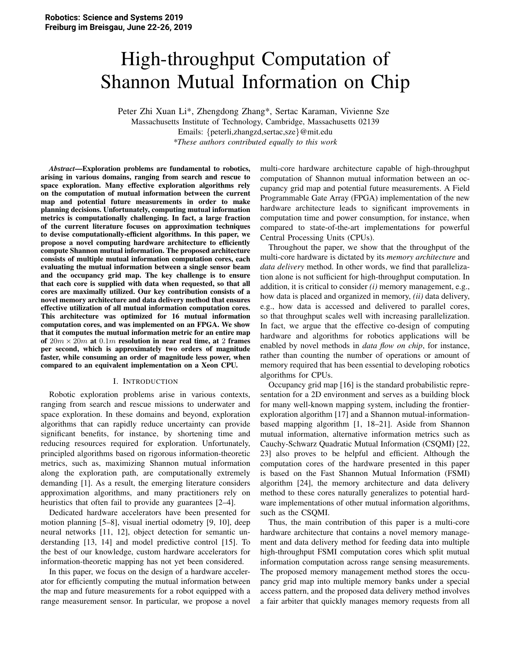# High-throughput Computation of Shannon Mutual Information on Chip

Peter Zhi Xuan Li\*, Zhengdong Zhang\*, Sertac Karaman, Vivienne Sze Massachusetts Institute of Technology, Cambridge, Massachusetts 02139 Emails: {peterli,zhangzd,sertac,sze}@mit.edu *\*These authors contributed equally to this work*

*Abstract*—Exploration problems are fundamental to robotics, arising in various domains, ranging from search and rescue to space exploration. Many effective exploration algorithms rely on the computation of mutual information between the current map and potential future measurements in order to make planning decisions. Unfortunately, computing mutual information metrics is computationally challenging. In fact, a large fraction of the current literature focuses on approximation techniques to devise computationally-efficient algorithms. In this paper, we propose a novel computing hardware architecture to efficiently compute Shannon mutual information. The proposed architecture consists of multiple mutual information computation cores, each evaluating the mutual information between a single sensor beam and the occupancy grid map. The key challenge is to ensure that each core is supplied with data when requested, so that all cores are maximally utilized. Our key contribution consists of a novel memory architecture and data delivery method that ensures effective utilization of all mutual information computation cores. This architecture was optimized for 16 mutual information computation cores, and was implemented on an FPGA. We show that it computes the mutual information metric for an entire map of  $20m \times 20m$  at  $0.1m$  resolution in near real time, at 2 frames per second, which is approximately two orders of magnitude faster, while consuming an order of magnitude less power, when compared to an equivalent implementation on a Xeon CPU.

#### I. INTRODUCTION

Robotic exploration problems arise in various contexts, ranging from search and rescue missions to underwater and space exploration. In these domains and beyond, exploration algorithms that can rapidly reduce uncertainty can provide significant benefits, for instance, by shortening time and reducing resources required for exploration. Unfortunately, principled algorithms based on rigorous information-theoretic metrics, such as, maximizing Shannon mutual information along the exploration path, are computationally extremely demanding [1]. As a result, the emerging literature considers approximation algorithms, and many practitioners rely on heuristics that often fail to provide any guarantees [2–4].

Dedicated hardware accelerators have been presented for motion planning [5–8], visual inertial odometry [9, 10], deep neural networks [11, 12], object detection for semantic understanding [13, 14] and model predictive control [15]. To the best of our knowledge, custom hardware accelerators for information-theoretic mapping has not yet been considered.

In this paper, we focus on the design of a hardware accelerator for efficiently computing the mutual information between the map and future measurements for a robot equipped with a range measurement sensor. In particular, we propose a novel multi-core hardware architecture capable of high-throughput computation of Shannon mutual information between an occupancy grid map and potential future measurements. A Field Programmable Gate Array (FPGA) implementation of the new hardware architecture leads to significant improvements in computation time and power consumption, for instance, when compared to state-of-the-art implementations for powerful Central Processing Units (CPUs).

Throughout the paper, we show that the throughput of the multi-core hardware is dictated by its *memory architecture* and *data delivery* method. In other words, we find that parallelization alone is not sufficient for high-throughput computation. In addition, it is critical to consider *(i)* memory management, e.g., how data is placed and organized in memory, *(ii)* data delivery, e.g., how data is accessed and delivered to parallel cores, so that throughput scales well with increasing parallelization. In fact, we argue that the effective co-design of computing hardware and algorithms for robotics applications will be enabled by novel methods in *data flow on chip*, for instance, rather than counting the number of operations or amount of memory required that has been essential to developing robotics algorithms for CPUs.

Occupancy grid map [16] is the standard probabilistic representation for a 2D environment and serves as a building block for many well-known mapping system, including the frontierexploration algorithm [17] and a Shannon mutual-informationbased mapping algorithm [1, 18–21]. Aside from Shannon mutual information, alternative information metrics such as Cauchy-Schwarz Quadratic Mutual Information (CSQMI) [22, 23] also proves to be helpful and efficient. Although the computation cores of the hardware presented in this paper is based on the Fast Shannon Mutual Information (FSMI) algorithm [24], the memory architecture and data delivery method to these cores naturally generalizes to potential hardware implementations of other mutual information algorithms, such as the CSQMI.

Thus, the main contribution of this paper is a multi-core hardware architecture that contains a novel memory management and data delivery method for feeding data into multiple high-throughput FSMI computation cores which split mutual information computation across range sensing measurements. The proposed memory management method stores the occupancy grid map into multiple memory banks under a special access pattern, and the proposed data delivery method involves a fair arbiter that quickly manages memory requests from all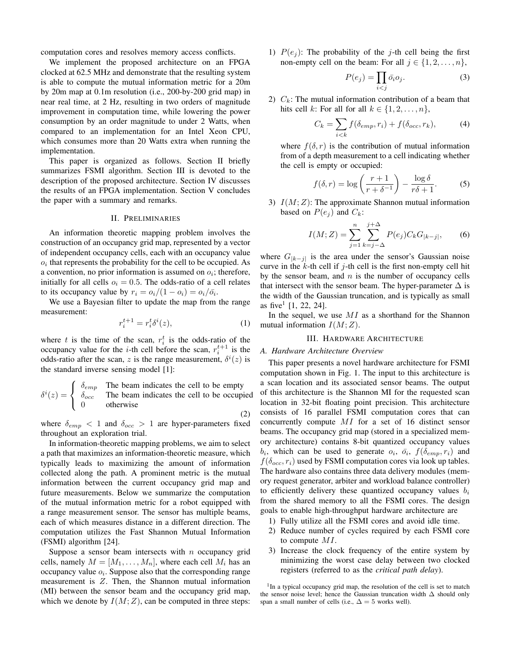computation cores and resolves memory access conflicts.

We implement the proposed architecture on an FPGA clocked at 62.5 MHz and demonstrate that the resulting system is able to compute the mutual information metric for a 20m by 20m map at 0.1m resolution (i.e., 200-by-200 grid map) in near real time, at 2 Hz, resulting in two orders of magnitude improvement in computation time, while lowering the power consumption by an order magnitude to under 2 Watts, when compared to an implementation for an Intel Xeon CPU, which consumes more than 20 Watts extra when running the implementation.

This paper is organized as follows. Section II briefly summarizes FSMI algorithm. Section III is devoted to the description of the proposed architecture. Section IV discusses the results of an FPGA implementation. Section V concludes the paper with a summary and remarks.

## **II. PRELIMINARIES**

An information theoretic mapping problem involves the construction of an occupancy grid map, represented by a vector of independent occupancy cells, each with an occupancy value  $o_i$  that represents the probability for the cell to be occupied. As a convention, no prior information is assumed on  $o_i$ ; therefore, initially for all cells  $o_i = 0.5$ . The odds-ratio of a cell relates to its occupancy value by  $r_i = o_i/(1 - o_i) = o_i/\overline{o_i}$ .

We use a Bayesian filter to update the map from the range measurement:

$$
r_i^{t+1} = r_i^t \delta^i(z),\tag{1}
$$

 $(2)$ 

where t is the time of the scan,  $r_i^t$  is the odds-ratio of the occupancy value for the *i*-th cell before the scan,  $r_i^{t+1}$  is the odds-ratio after the scan, z is the range measurement,  $\delta^{i}(z)$  is the standard inverse sensing model [1]:

$$
\delta^i(z) = \begin{cases} \delta_{emp} & \text{The beam indicates the cell to be empty} \\ \delta_{occ} & \text{The beam indicates the cell to be occupied} \\ 0 & \text{otherwise} \end{cases}
$$

where  $\delta_{emp}$  < 1 and  $\delta_{occ}$  > 1 are hyper-parameters fixed throughout an exploration trial.

In information-theoretic mapping problems, we aim to select a path that maximizes an information-theoretic measure, which typically leads to maximizing the amount of information collected along the path. A prominent metric is the mutual information between the current occupancy grid map and future measurements. Below we summarize the computation of the mutual information metric for a robot equipped with a range measurement sensor. The sensor has multiple beams, each of which measures distance in a different direction. The computation utilizes the Fast Shannon Mutual Information (FSMI) algorithm [24].

Suppose a sensor beam intersects with  $n$  occupancy grid cells, namely  $M = [M_1, \ldots, M_n]$ , where each cell  $M_i$  has an occupancy value  $o_i$ . Suppose also that the corresponding range measurement is  $Z$ . Then, the Shannon mutual information (MI) between the sensor beam and the occupancy grid map, which we denote by  $I(M; Z)$ , can be computed in three steps: 1)  $P(e_i)$ : The probability of the *j*-th cell being the first non-empty cell on the beam: For all  $j \in \{1, 2, ..., n\}$ ,

$$
P(e_j) = \prod_{i < j} \bar{o}_i o_j. \tag{3}
$$

2)  $C_k$ : The mutual information contribution of a beam that hits cell k: For all for all  $k \in \{1, 2, ..., n\}$ ,

$$
C_k = \sum_{i < k} f(\delta_{emp}, r_i) + f(\delta_{occ}, r_k),\tag{4}
$$

where  $f(\delta, r)$  is the contribution of mutual information from of a depth measurement to a cell indicating whether the cell is empty or occupied:

$$
f(\delta, r) = \log\left(\frac{r+1}{r+\delta^{-1}}\right) - \frac{\log\delta}{r\delta + 1}.
$$
 (5)

3)  $I(M; Z)$ : The approximate Shannon mutual information based on  $P(e_i)$  and  $C_k$ :

$$
I(M;Z) = \sum_{j=1}^{n} \sum_{k=j-\Delta}^{j+\Delta} P(e_j) C_k G_{|k-j|},
$$
 (6)

where  $G_{|k-j|}$  is the area under the sensor's Gaussian noise curve in the  $k$ -th cell if  $j$ -th cell is the first non-empty cell hit by the sensor beam, and  $n$  is the number of occupancy cells that intersect with the sensor beam. The hyper-parameter  $\Delta$  is the width of the Gaussian truncation, and is typically as small as five  $[1, 22, 24]$ .

In the sequel, we use  $MI$  as a shorthand for the Shannon mutual information  $I(M; Z)$ .

#### **III. HARDWARE ARCHITECTURE**

# A. Hardware Architecture Overview

This paper presents a novel hardware architecture for FSMI computation shown in Fig. 1. The input to this architecture is a scan location and its associated sensor beams. The output of this architecture is the Shannon MI for the requested scan location in 32-bit floating point precision. This architecture consists of 16 parallel FSMI computation cores that can concurrently compute  $MI$  for a set of 16 distinct sensor beams. The occupancy grid map (stored in a specialized memory architecture) contains 8-bit quantized occupancy values  $b_i$ , which can be used to generate  $o_i$ ,  $\bar{o}_i$ ,  $f(\delta_{emp}, r_i)$  and  $f(\delta_{occ}, r_i)$  used by FSMI computation cores via look up tables. The hardware also contains three data delivery modules (memory request generator, arbiter and workload balance controller) to efficiently delivery these quantized occupancy values  $b_i$ from the shared memory to all the FSMI cores. The design goals to enable high-throughput hardware architecture are

- 1) Fully utilize all the FSMI cores and avoid idle time.
- 2) Reduce number of cycles required by each FSMI core to compute  $MI$ .
- 3) Increase the clock frequency of the entire system by minimizing the worst case delay between two clocked registers (referred to as the *critical path delay*).

<sup>1</sup>In a typical occupancy grid map, the resolution of the cell is set to match the sensor noise level; hence the Gaussian truncation width  $\Delta$  should only span a small number of cells (i.e.,  $\Delta = 5$  works well).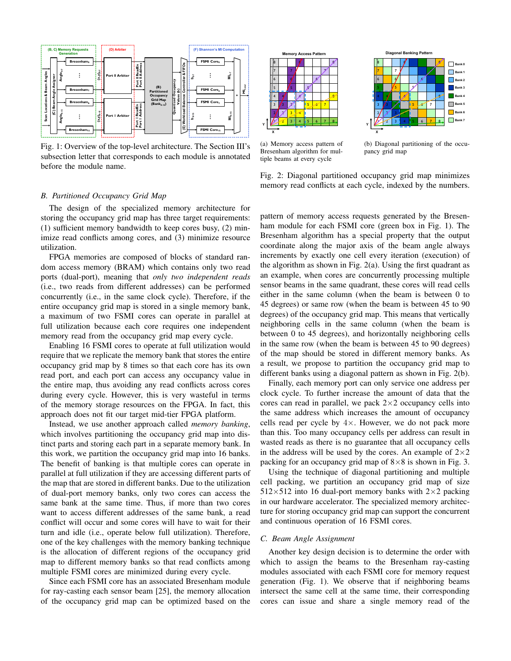

Fig. 1: Overview of the top-level architecture. The Section III's subsection letter that corresponds to each module is annotated before the module name.





(a) Memory access pattern of Bresenham algorithm for multiple beams at every cycle

(b) Diagonal partitioning of the occupancy grid map

# Fig. 2: Diagonal partitioned occupancy grid map minimizes memory read conflicts at each cycle, indexed by the numbers.

The design of the specialized memory architecture for storing the occupancy grid map has three target requirements: (1) sufficient memory bandwidth to keep cores busy, (2) minimize read conflicts among cores, and (3) minimize resource utilization.

**B.** Partitioned Occupancy Grid Map

FPGA memories are composed of blocks of standard random access memory (BRAM) which contains only two read ports (dual-port), meaning that *only two independent reads* (i.e., two reads from different addresses) can be performed concurrently (i.e., in the same clock cycle). Therefore, if the entire occupancy grid map is stored in a single memory bank, a maximum of two FSMI cores can operate in parallel at full utilization because each core requires one independent memory read from the occupancy grid map every cycle.

Enabling 16 FSMI cores to operate at full utilization would require that we replicate the memory bank that stores the entire occupancy grid map by 8 times so that each core has its own read port, and each port can access any occupancy value in the entire map, thus avoiding any read conflicts across cores during every cycle. However, this is very wasteful in terms of the memory storage resources on the FPGA. In fact, this approach does not fit our target mid-tier FPGA platform.

Instead, we use another approach called *memory banking*, which involves partitioning the occupancy grid map into distinct parts and storing each part in a separate memory bank. In this work, we partition the occupancy grid map into 16 banks. The benefit of banking is that multiple cores can operate in parallel at full utilization if they are accessing different parts of the map that are stored in different banks. Due to the utilization of dual-port memory banks, only two cores can access the same bank at the same time. Thus, if more than two cores want to access different addresses of the same bank, a read conflict will occur and some cores will have to wait for their turn and idle (i.e., operate below full utilization). Therefore, one of the key challenges with the memory banking technique is the allocation of different regions of the occupancy grid map to different memory banks so that read conflicts among multiple FSMI cores are minimized during every cycle.

Since each FSMI core has an associated Bresenham module for ray-casting each sensor beam [25], the memory allocation of the occupancy grid map can be optimized based on the pattern of memory access requests generated by the Bresenham module for each FSMI core (green box in Fig. 1). The Bresenham algorithm has a special property that the output coordinate along the major axis of the beam angle always increments by exactly one cell every iteration (execution) of the algorithm as shown in Fig.  $2(a)$ . Using the first quadrant as an example, when cores are concurrently processing multiple sensor beams in the same quadrant, these cores will read cells either in the same column (when the beam is between 0 to 45 degrees) or same row (when the beam is between 45 to 90 degrees) of the occupancy grid map. This means that vertically neighboring cells in the same column (when the beam is between 0 to 45 degrees), and horizontally neighboring cells in the same row (when the beam is between 45 to 90 degrees) of the map should be stored in different memory banks. As a result, we propose to partition the occupancy grid map to different banks using a diagonal pattern as shown in Fig. 2(b).

Finally, each memory port can only service one address per clock cycle. To further increase the amount of data that the cores can read in parallel, we pack  $2\times 2$  occupancy cells into the same address which increases the amount of occupancy cells read per cycle by  $4 \times$ . However, we do not pack more than this. Too many occupancy cells per address can result in wasted reads as there is no guarantee that all occupancy cells in the address will be used by the cores. An example of  $2\times 2$ packing for an occupancy grid map of  $8 \times 8$  is shown in Fig. 3.

Using the technique of diagonal partitioning and multiple cell packing, we partition an occupancy grid map of size  $512\times512$  into 16 dual-port memory banks with 2×2 packing in our hardware accelerator. The specialized memory architecture for storing occupancy grid map can support the concurrent and continuous operation of 16 FSMI cores.

#### C. Beam Angle Assignment

Another key design decision is to determine the order with which to assign the beams to the Bresenham ray-casting modules associated with each FSMI core for memory request generation (Fig. 1). We observe that if neighboring beams intersect the same cell at the same time, their corresponding cores can issue and share a single memory read of the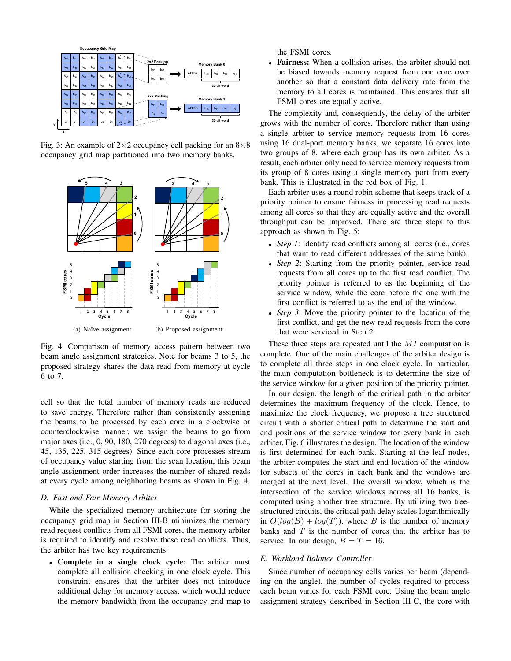

Fig. 3: An example of  $2\times 2$  occupancy cell packing for an  $8\times 8$ occupancy grid map partitioned into two memory banks.



Fig. 4: Comparison of memory access pattern between two beam angle assignment strategies. Note for beams 3 to 5, the proposed strategy shares the data read from memory at cycle 6 to 7.

cell so that the total number of memory reads are reduced to save energy. Therefore rather than consistently assigning the beams to be processed by each core in a clockwise or counterclockwise manner, we assign the beams to go from major axes (i.e.,  $0$ ,  $90$ ,  $180$ ,  $270$  degrees) to diagonal axes (i.e., 45, 135, 225, 315 degrees). Since each core processes stream of occupancy value starting from the scan location, this beam angle assignment order increases the number of shared reads at every cycle among neighboring beams as shown in Fig. 4.

#### D. Fast and Fair Memory Arbiter

While the specialized memory architecture for storing the occupancy grid map in Section III-B minimizes the memory read request conflicts from all FSMI cores, the memory arbiter is required to identify and resolve these read conflicts. Thus, the arbiter has two key requirements:

• Complete in a single clock cycle: The arbiter must complete all collision checking in one clock cycle. This constraint ensures that the arbiter does not introduce additional delay for memory access, which would reduce the memory bandwidth from the occupancy grid map to

the FSMI cores.

Fairness: When a collision arises, the arbiter should not  $\bullet$ be biased towards memory request from one core over another so that a constant data delivery rate from the memory to all cores is maintained. This ensures that all FSMI cores are equally active.

The complexity and, consequently, the delay of the arbiter grows with the number of cores. Therefore rather than using a single arbiter to service memory requests from 16 cores using 16 dual-port memory banks, we separate 16 cores into two groups of 8, where each group has its own arbiter. As a result, each arbiter only need to service memory requests from its group of 8 cores using a single memory port from every bank. This is illustrated in the red box of Fig. 1.

Each arbiter uses a round robin scheme that keeps track of a priority pointer to ensure fairness in processing read requests among all cores so that they are equally active and the overall throughput can be improved. There are three steps to this approach as shown in Fig. 5:

- Step 1: Identify read conflicts among all cores (i.e., cores that want to read different addresses of the same bank).
- *Step 2*: Starting from the priority pointer, service read requests from all cores up to the first read conflict. The priority pointer is referred to as the beginning of the service window, while the core before the one with the first conflict is referred to as the end of the window.
- Step 3: Move the priority pointer to the location of the first conflict, and get the new read requests from the core that were serviced in Step 2.

These three steps are repeated until the  $MI$  computation is complete. One of the main challenges of the arbiter design is to complete all three steps in one clock cycle. In particular, the main computation bottleneck is to determine the size of the service window for a given position of the priority pointer.

In our design, the length of the critical path in the arbiter determines the maximum frequency of the clock. Hence, to maximize the clock frequency, we propose a tree structured circuit with a shorter critical path to determine the start and end positions of the service window for every bank in each arbiter. Fig. 6 illustrates the design. The location of the window is first determined for each bank. Starting at the leaf nodes, the arbiter computes the start and end location of the window for subsets of the cores in each bank and the windows are merged at the next level. The overall window, which is the intersection of the service windows across all 16 banks, is computed using another tree structure. By utilizing two treestructured circuits, the critical path delay scales logarithmically in  $O(log(B) + log(T))$ , where B is the number of memory banks and  $T$  is the number of cores that the arbiter has to service. In our design,  $B = T = 16$ .

# E. Workload Balance Controller

Since number of occupancy cells varies per beam (depending on the angle), the number of cycles required to process each beam varies for each FSMI core. Using the beam angle assignment strategy described in Section III-C, the core with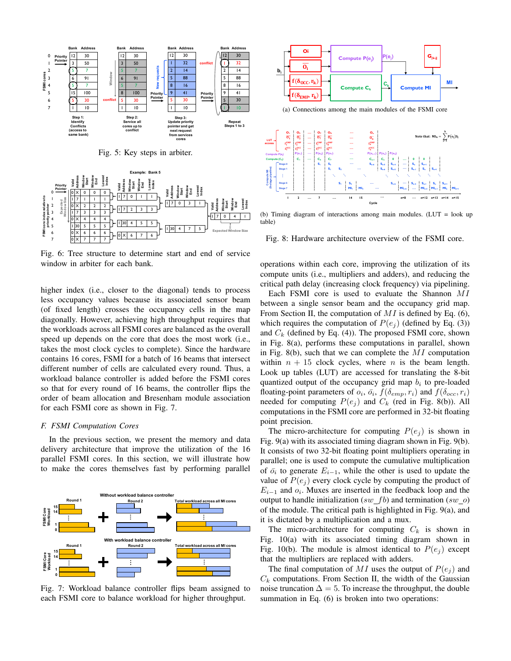

Fig. 5: Key steps in arbiter.



Fig. 6: Tree structure to determine start and end of service window in arbiter for each bank.

higher index (i.e., closer to the diagonal) tends to process less occupancy values because its associated sensor beam (of fixed length) crosses the occupancy cells in the map diagonally. However, achieving high throughput requires that the workloads across all FSMI cores are balanced as the overall speed up depends on the core that does the most work (i.e., takes the most clock cycles to complete). Since the hardware contains 16 cores, FSMI for a batch of 16 beams that intersect different number of cells are calculated every round. Thus, a workload balance controller is added before the FSMI cores so that for every round of 16 beams, the controller flips the order of beam allocation and Bresenham module association for each FSMI core as shown in Fig. 7.

#### F. FSMI Computation Cores

In the previous section, we present the memory and data delivery architecture that improve the utilization of the 16 parallel FSMI cores. In this section, we will illustrate how to make the cores themselves fast by performing parallel



Fig. 7: Workload balance controller flips beam assigned to each FSMI core to balance workload for higher throughput.



(b) Timing diagram of interactions among main modules. (LUT = look up table)

Fig. 8: Hardware architecture overview of the FSMI core.

operations within each core, improving the utilization of its compute units (i.e., multipliers and adders), and reducing the critical path delay (increasing clock frequency) via pipelining.

Each FSMI core is used to evaluate the Shannon MI between a single sensor beam and the occupancy grid map. From Section II, the computation of  $MI$  is defined by Eq. (6), which requires the computation of  $P(e_i)$  (defined by Eq. (3)) and  $C_k$  (defined by Eq. (4)). The proposed FSMI core, shown in Fig. 8(a), performs these computations in parallel, shown in Fig. 8(b), such that we can complete the  $MI$  computation within  $n + 15$  clock cycles, where *n* is the beam length. Look up tables (LUT) are accessed for translating the 8-bit quantized output of the occupancy grid map  $b_i$  to pre-loaded floating-point parameters of  $o_i$ ,  $\bar{o}_i$ ,  $f(\delta_{emp}, r_i)$  and  $f(\delta_{occ}, r_i)$ needed for computing  $P(e_i)$  and  $C_k$  (red in Fig. 8(b)). All computations in the FSMI core are performed in 32-bit floating point precision.

The micro-architecture for computing  $P(e_i)$  is shown in Fig. 9(a) with its associated timing diagram shown in Fig. 9(b). It consists of two 32-bit floating point multipliers operating in parallel; one is used to compute the cumulative multiplication of  $\bar{o}_i$  to generate  $E_{i-1}$ , while the other is used to update the value of  $P(e_i)$  every clock cycle by computing the product of  $E_{i-1}$  and  $o_i$ . Muxes are inserted in the feedback loop and the output to handle initialization  $(sw_fb)$  and termination  $(sw_o)$ of the module. The critical path is highlighted in Fig. 9(a), and it is dictated by a multiplication and a mux.

The micro-architecture for computing  $C_k$  is shown in Fig.  $10(a)$  with its associated timing diagram shown in Fig. 10(b). The module is almost identical to  $P(e_i)$  except that the multipliers are replaced with adders.

The final computation of MI uses the output of  $P(e_i)$  and  $C_k$  computations. From Section II, the width of the Gaussian noise truncation  $\Delta = 5$ . To increase the throughput, the double summation in Eq.  $(6)$  is broken into two operations: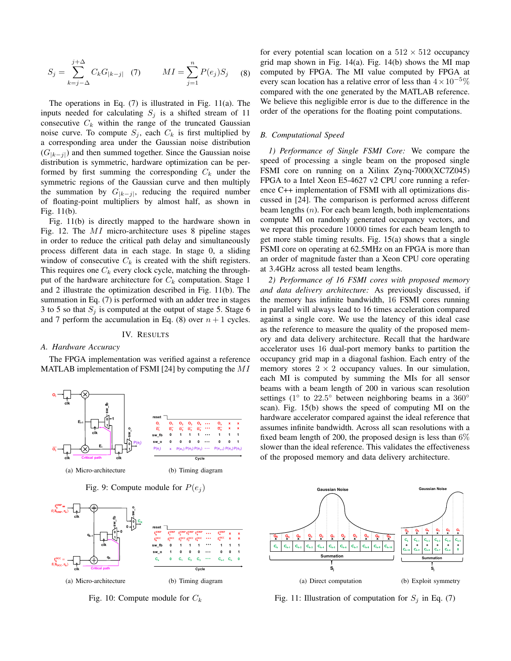$$
S_j = \sum_{k=j-\Delta}^{j+\Delta} C_k G_{|k-j|} \quad (7) \qquad MI = \sum_{j=1}^n P(e_j) S_j \quad (8)
$$

The operations in Eq.  $(7)$  is illustrated in Fig. 11(a). The inputs needed for calculating  $S_j$  is a shifted stream of 11 consecutive  $C_k$  within the range of the truncated Gaussian noise curve. To compute  $S_j$ , each  $C_k$  is first multiplied by a corresponding area under the Gaussian noise distribution  $(G_{|k-j|})$  and then summed together. Since the Gaussian noise distribution is symmetric, hardware optimization can be performed by first summing the corresponding  $C_k$  under the symmetric regions of the Gaussian curve and then multiply the summation by  $G_{|k-j|}$ , reducing the required number of floating-point multipliers by almost half, as shown in Fig.  $11(b)$ .

Fig. 11(b) is directly mapped to the hardware shown in Fig. 12. The  $MI$  micro-architecture uses 8 pipeline stages in order to reduce the critical path delay and simultaneously process different data in each stage. In stage 0, a sliding window of consecutive  $C_k$  is created with the shift registers. This requires one  $C_k$  every clock cycle, matching the throughput of the hardware architecture for  $C_k$  computation. Stage 1 and 2 illustrate the optimization described in Fig. 11(b). The summation in Eq. (7) is performed with an adder tree in stages 3 to 5 so that  $S_i$  is computed at the output of stage 5. Stage 6 and 7 perform the accumulation in Eq. (8) over  $n + 1$  cycles.

#### IV. RESULTS

#### A. Hardware Accuracy

The FPGA implementation was verified against a reference MATLAB implementation of FSMI [24] by computing the  $MI$ 



Fig. 9: Compute module for  $P(e_i)$ 



Fig. 10: Compute module for  $C_k$ 

for every potential scan location on a  $512 \times 512$  occupancy grid map shown in Fig.  $14(a)$ . Fig.  $14(b)$  shows the MI map computed by FPGA. The MI value computed by FPGA at every scan location has a relative error of less than  $4 \times 10^{-5}\%$ compared with the one generated by the MATLAB reference. We believe this negligible error is due to the difference in the order of the operations for the floating point computations.

#### **B.** Computational Speed

1) Performance of Single FSMI Core: We compare the speed of processing a single beam on the proposed single FSMI core on running on a Xilinx Zynq-7000(XC7Z045) FPGA to a Intel Xeon E5-4627 v2 CPU core running a reference C++ implementation of FSMI with all optimizations discussed in [24]. The comparison is performed across different beam lengths  $(n)$ . For each beam length, both implementations compute MI on randomly generated occupancy vectors, and we repeat this procedure 10000 times for each beam length to get more stable timing results. Fig. 15(a) shows that a single FSMI core on operating at 62.5MHz on an FPGA is more than an order of magnitude faster than a Xeon CPU core operating at 3.4 GHz across all tested beam lengths.

2) Performance of 16 FSMI cores with proposed memory and data delivery architecture: As previously discussed, if the memory has infinite bandwidth, 16 FSMI cores running in parallel will always lead to 16 times acceleration compared against a single core. We use the latency of this ideal case as the reference to measure the quality of the proposed memory and data delivery architecture. Recall that the hardware accelerator uses 16 dual-port memory banks to partition the occupancy grid map in a diagonal fashion. Each entry of the memory stores  $2 \times 2$  occupancy values. In our simulation, each MI is computed by summing the MIs for all sensor beams with a beam length of 200 in various scan resolution settings (1° to 22.5° between neighboring beams in a 360° scan). Fig. 15(b) shows the speed of computing MI on the hardware accelerator compared against the ideal reference that assumes infinite bandwidth. Across all scan resolutions with a fixed beam length of 200, the proposed design is less than  $6\%$ slower than the ideal reference. This validates the effectiveness of the proposed memory and data delivery architecture.



Fig. 11: Illustration of computation for  $S_j$  in Eq. (7)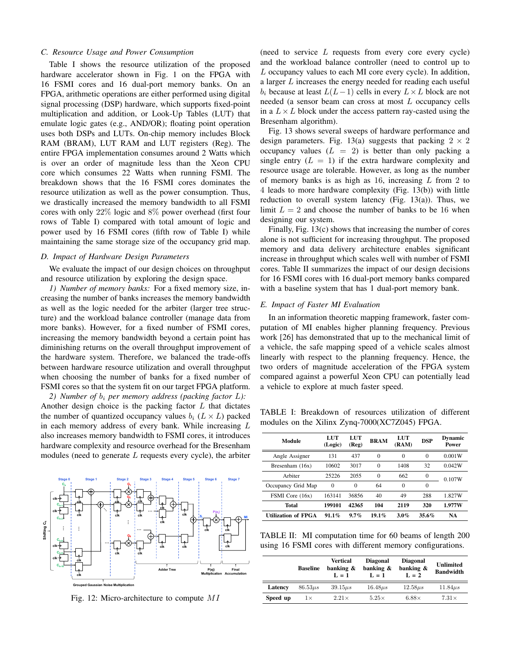#### C. Resource Usage and Power Consumption

Table I shows the resource utilization of the proposed hardware accelerator shown in Fig. 1 on the FPGA with 16 FSMI cores and 16 dual-port memory banks. On an FPGA, arithmetic operations are either performed using digital signal processing (DSP) hardware, which supports fixed-point multiplication and addition, or Look-Up Tables (LUT) that emulate logic gates (e.g., AND/OR); floating point operation uses both DSPs and LUTs. On-chip memory includes Block RAM (BRAM), LUT RAM and LUT registers (Reg). The entire FPGA implementation consumes around 2 Watts which is over an order of magnitude less than the Xeon CPU core which consumes 22 Watts when running FSMI. The breakdown shows that the 16 FSMI cores dominates the resource utilization as well as the power consumption. Thus, we drastically increased the memory bandwidth to all FSMI cores with only  $22\%$  logic and  $8\%$  power overhead (first four rows of Table I) compared with total amount of logic and power used by 16 FSMI cores (fifth row of Table I) while maintaining the same storage size of the occupancy grid map.

### D. Impact of Hardware Design Parameters

We evaluate the impact of our design choices on throughput and resource utilization by exploring the design space.

1) Number of memory banks: For a fixed memory size, increasing the number of banks increases the memory bandwidth as well as the logic needed for the arbiter (larger tree structure) and the workload balance controller (manage data from more banks). However, for a fixed number of FSMI cores, increasing the memory bandwidth beyond a certain point has diminishing returns on the overall throughput improvement of the hardware system. Therefore, we balanced the trade-offs between hardware resource utilization and overall throughput when choosing the number of banks for a fixed number of FSMI cores so that the system fit on our target FPGA platform.

2) Number of  $b_i$  per memory address (packing factor  $L$ ): Another design choice is the packing factor  $L$  that dictates the number of quantized occupancy values  $b_i$  ( $L \times L$ ) packed in each memory address of every bank. While increasing  $L$ also increases memory bandwidth to FSMI cores, it introduces hardware complexity and resource overhead for the Bresenham modules (need to generate  $L$  requests every cycle), the arbiter



Fig. 12: Micro-architecture to compute MI

(need to service  $L$  requests from every core every cycle) and the workload balance controller (need to control up to L occupancy values to each MI core every cycle). In addition, a larger  $L$  increases the energy needed for reading each useful  $b_i$  because at least  $L(L-1)$  cells in every  $L \times L$  block are not needed (a sensor beam can cross at most L occupancy cells in a  $L \times L$  block under the access pattern ray-casted using the Bresenham algorithm).

Fig. 13 shows several sweeps of hardware performance and design parameters. Fig. 13(a) suggests that packing  $2 \times 2$ occupancy values  $(L = 2)$  is better than only packing a single entry  $(L = 1)$  if the extra hardware complexity and resource usage are tolerable. However, as long as the number of memory banks is as high as 16, increasing  $L$  from 2 to 4 leads to more hardware complexity (Fig. 13(b)) with little reduction to overall system latency (Fig.  $13(a)$ ). Thus, we limit  $L = 2$  and choose the number of banks to be 16 when designing our system.

Finally, Fig.  $13(c)$  shows that increasing the number of cores alone is not sufficient for increasing throughput. The proposed memory and data delivery architecture enables significant increase in throughput which scales well with number of FSMI cores. Table II summarizes the impact of our design decisions for 16 FSMI cores with 16 dual-port memory banks compared with a baseline system that has 1 dual-port memory bank.

# E. Impact of Faster MI Evaluation

In an information theoretic mapping framework, faster computation of MI enables higher planning frequency. Previous work [26] has demonstrated that up to the mechanical limit of a vehicle, the safe mapping speed of a vehicle scales almost linearly with respect to the planning frequency. Hence, the two orders of magnitude acceleration of the FPGA system compared against a powerful Xeon CPU can potentially lead a vehicle to explore at much faster speed.

TABLE I: Breakdown of resources utilization of different modules on the Xilinx Zynq-7000(XC7Z045) FPGA.

| Module                     | LUT<br>(Logic) | LUT<br>(Reg) | <b>BRAM</b> | LUT<br>(RAM) | <b>DSP</b>   | Dynamic<br>Power |
|----------------------------|----------------|--------------|-------------|--------------|--------------|------------------|
| Angle Assigner             | 131            | 437          | $\Omega$    | $\Omega$     | $\Omega$     | 0.001W           |
| Bresenham $(16x)$          | 10602          | 3017         | $\Omega$    | 1408         | 32           | 0.042W           |
| Arbiter                    | 25226          | 2055         | $\Omega$    | 662          | $\mathbf{0}$ | 0.107W           |
| Occupancy Grid Map         | $\Omega$       | $\theta$     | 64          | $\Omega$     | $\Omega$     |                  |
| FSMI Core (16x)            | 163141         | 36856        | 40          | 49           | 288          | 1.827W           |
| Total                      | 199101         | 42365        | 104         | 2119         | 320          | 1.977W           |
| <b>Utilization of FPGA</b> | $91.1\%$       | $9.7\%$      | $19.1\%$    | $3.0\%$      | $35.6\%$     | NA               |

TABLE II: MI computation time for 60 beams of length 200 using 16 FSMI cores with different memory configurations.

|          | <b>Baseline</b> | Vertical<br>banking &<br>$L = 1$ | <b>Diagonal</b><br>banking &<br>$L = 1$ | <b>Diagonal</b><br>banking &<br>$L = 2$ | Unlimited<br><b>Bandwidth</b> |
|----------|-----------------|----------------------------------|-----------------------------------------|-----------------------------------------|-------------------------------|
| Latency  | $86.53\mu s$    | $39.15 \mu s$                    | $16.48\mu s$                            | $12.58\mu s$                            | $11.84\mu s$                  |
| Speed up | $1\times$       | $2.21\times$                     | $5.25\times$                            | $6.88\times$                            | $7.31\times$                  |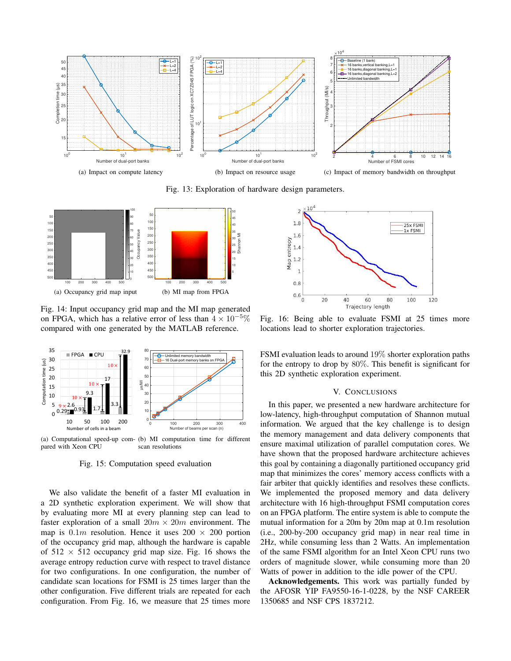

Fig. 13: Exploration of hardware design parameters.



Fig. 14: Input occupancy grid map and the MI map generated on FPGA, which has a relative error of less than  $4 \times 10^{-5}\%$ compared with one generated by the MATLAB reference.



(a) Computational speed-up com- (b) MI computation time for different pared with Xeon CPU scan resolutions

Fig. 15: Computation speed evaluation

We also validate the benefit of a faster MI evaluation in a 2D synthetic exploration experiment. We will show that by evaluating more MI at every planning step can lead to faster exploration of a small  $20m \times 20m$  environment. The map is  $0.1m$  resolution. Hence it uses  $200 \times 200$  portion of the occupancy grid map, although the hardware is capable of  $512 \times 512$  occupancy grid map size. Fig. 16 shows the average entropy reduction curve with respect to travel distance for two configurations. In one configuration, the number of candidate scan locations for FSMI is 25 times larger than the other configuration. Five different trials are repeated for each configuration. From Fig. 16, we measure that 25 times more



Fig. 16: Being able to evaluate FSMI at 25 times more locations lead to shorter exploration trajectories.

FSMI evaluation leads to around  $19\%$  shorter exploration paths for the entropy to drop by  $80\%$ . This benefit is significant for this 2D synthetic exploration experiment.

#### V. CONCLUSIONS

In this paper, we presented a new hardware architecture for low-latency, high-throughput computation of Shannon mutual information. We argued that the key challenge is to design the memory management and data delivery components that ensure maximal utilization of parallel computation cores. We have shown that the proposed hardware architecture achieves this goal by containing a diagonally partitioned occupancy grid map that minimizes the cores' memory access conflicts with a fair arbiter that quickly identifies and resolves these conflicts. We implemented the proposed memory and data delivery architecture with 16 high-throughput FSMI computation cores on an FPGA platform. The entire system is able to compute the mutual information for a 20m by 20m map at 0.1m resolution (i.e., 200-by-200 occupancy grid map) in near real time in 2Hz, while consuming less than 2 Watts. An implementation of the same FSMI algorithm for an Intel Xeon CPU runs two orders of magnitude slower, while consuming more than 20 Watts of power in addition to the idle power of the CPU.

Acknowledgements. This work was partially funded by the AFOSR YIP FA9550-16-1-0228, by the NSF CAREER 1350685 and NSF CPS 1837212.